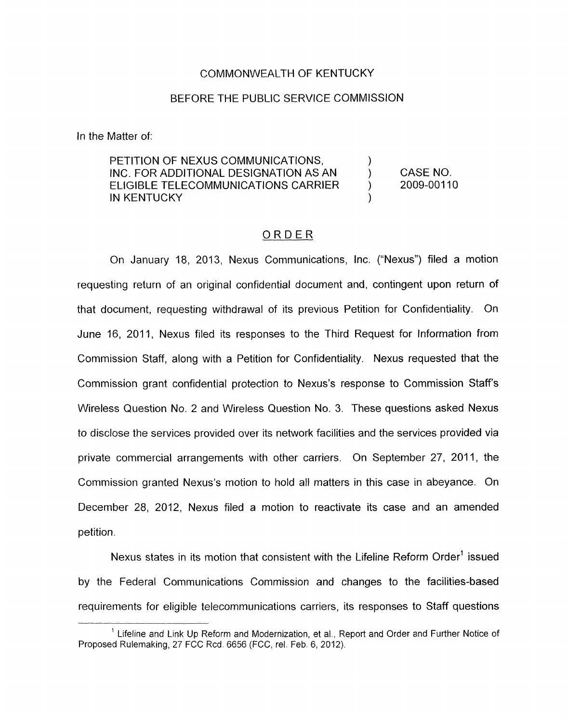## COMMONWEALTH OF KENTUCKY

## BEFORE THE PUBLIC SERVICE COMMISSION

In the Matter of:

PETITION OF NEXUS COMMUNICATIONS,  $\overrightarrow{D}$ <br>INC. FOR ADDITIONAL DESIGNATION AS AN INC. FOR ADDITIONAL DESIGNATION AS AN  $\left( \begin{array}{cc} 0 & 0 \end{array} \right)$ ELIGIBLE TELECOMMUNICATIONS CARRIER IN KENTUCKY CASE NO. 2009-00110

## ORDER

On January 18, 2013, Nexus Communications, Inc. ("Nexus") filed a motion requesting return of an original confidential document and, contingent upon return of that document, requesting withdrawal of its previous Petition for Confidentiality. On June 16, 2011, Nexus filed its responses to the Third Request for Information from Commission Staff, along with a Petition for Confidentiality. Nexus requested that the Commission grant confidential protection to Nexus's response to Commission Staffs Wireless Question No. 2 and Wireless Question No. 3. These questions asked Nexus to disclose the services provided over its network facilities and the services provided via private commercial arrangements with other carriers. On September 27, 2011, the Commission granted Nexus's motion to hold all matters in this case in abeyance. On December 28, 2012, Nexus filed a motion to reactivate its case and an amended petition.

Nexus states in its motion that consistent with the Lifeline Reform Order<sup>1</sup> issued by the Federal Communications Commission and changes to the facilities-based requirements for eligible telecommunications carriers, its responses to Staff questions

<sup>&</sup>lt;sup>1</sup> Lifeline and Link Up Reform and Modernization, et al., Report and Order and Further Notice of Proposed Rulemaking, 27 FCC Rcd. 6656 (FCC, rel. Feb. 6, 2012).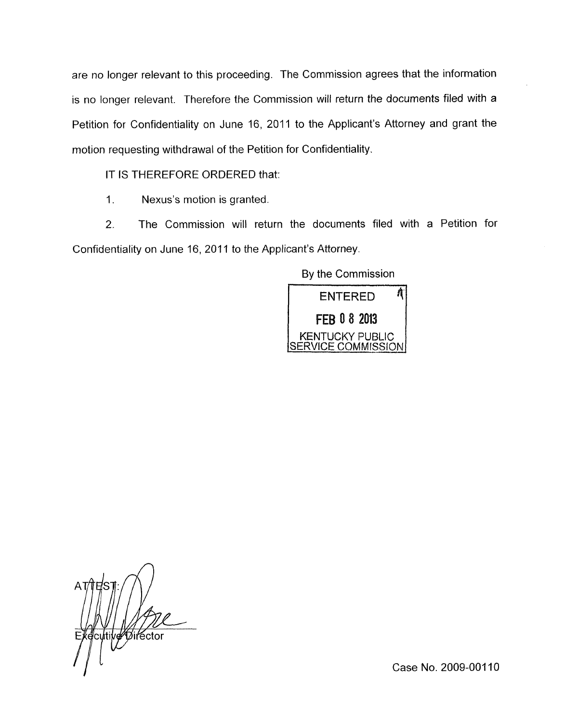are no longer relevant to this proceeding. The Commission agrees that the information is no longer relevant. Therefore the Commission will return the documents filed with a Petition for Confidentiality on June 16, 2011 to the Applicant's Attorney and grant the motion requesting withdrawal of the Petition for Confidentiality.

IT IS THEREFORE ORDERED that:

1. Nexus's motion is granted

*2.* The Commission will return the documents filed with a Petition for Confidentiality on June 16, 2011 to the Applicant's Attorney.

By the Commission



cutive Director

Case No. 2009-001 10